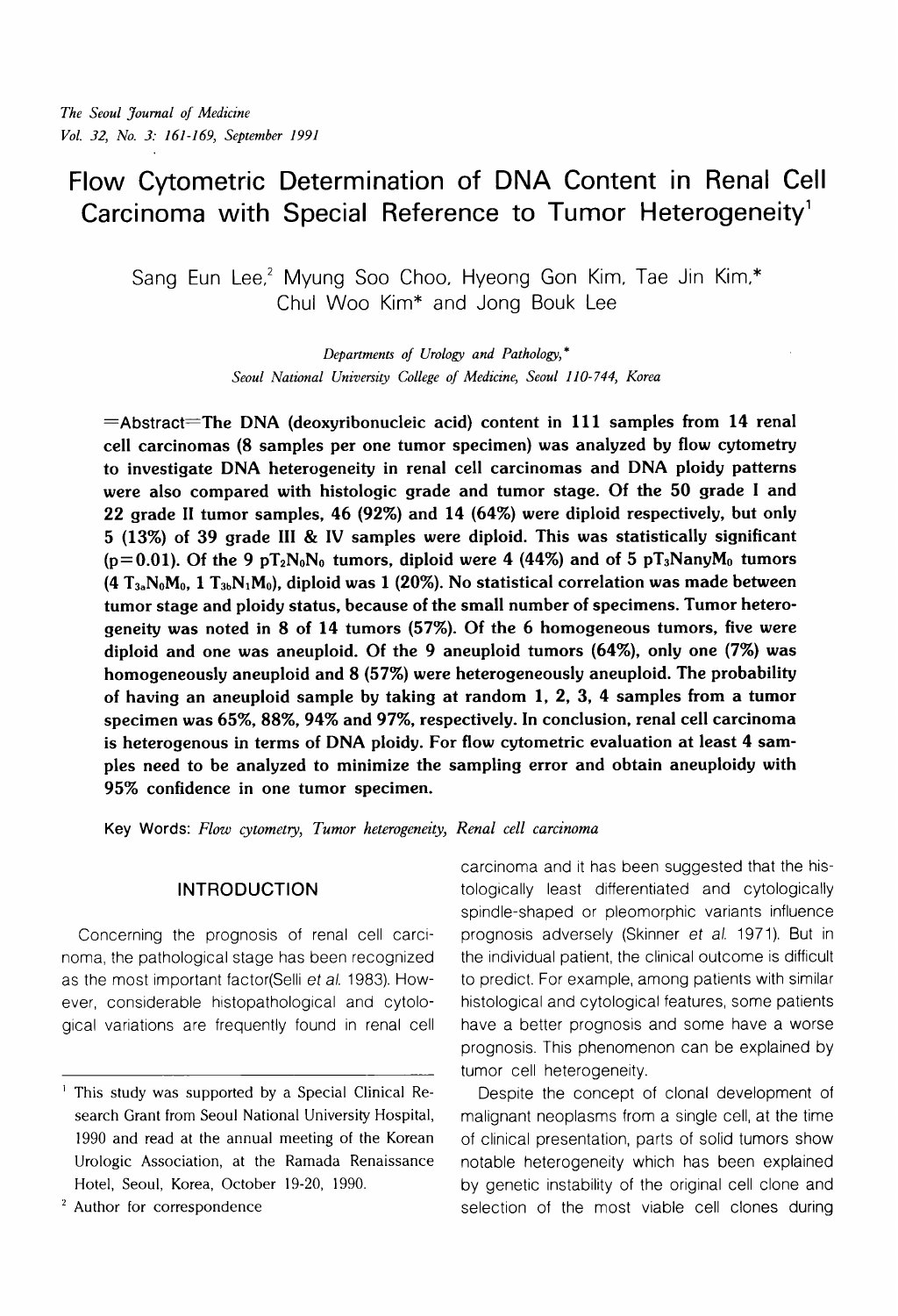# **Flow Cytometric Determination of DNA Content in Renal Cell Carcinoma with Special Reference to Tumor Heterogeneity'**

Sang Eun Lee,<sup>2</sup> Myung Soo Choo, Hyeong Gon Kim, Tae Jin Kim,\* Chul Woo Kim\* and Jong Bouk Lee

> *Departments of Urology and Pathology,* \* *Seoul National University College of Medicine, Seoul 110- 744, Korea*

 $=$ Abstract $=$ The DNA (deoxyribonucleic acid) content in 111 samples from 14 renal cell carcinomas (8 samples per one tumor specimen) was analyzed by flow cytometry to investigate DNA heterogeneity in renal cell carcinomas and DNA ploidy patterns were also compared with histologic grade and tumor stage. Of the 50 grade I and 22 grade I1 tumor samples, 46 (92%) and 14 (64%) were diploid respectively, but only 5 (13%) of 39 grade 111 & IV samples were diploid. This was statistically significant ( $p=0.01$ ). Of the 9 pT<sub>2</sub>N<sub>0</sub>N<sub>0</sub> tumors, diploid were 4 (44%) and of 5 pT<sub>3</sub>NanyM<sub>0</sub> tumors  $(4 T_{3a}N_0M_0, 1 T_{3b}N_1M_0)$ , diploid was 1 (20%). No statistical correlation was made between tumor stage and ploidy status, because of the small number of specimens. Tumor heterogeneity was noted in 8 of 14 tumors (57%). Of the 6 homogeneous tumors, five were diploid and one was aneuploid. Of the 9 aneuploid tumors (64%), only one (7%) was homogeneously aneuploid and 8 (57%) were heterogeneously aneuploid. The probability of having an aneuploid sample by taking at random 1, 2, 3, 4 samples from a tumor specimen was 65%, 88%, 94% and 97%, respectively. In conclusion, renal cell carcinoma is heterogenous in terms of DNA ploidy. For flow cytometric evaluation at least 4 samples need to be analyzed to minimize the sampling error and obtain aneuploidy with 95% confidence in one tumor specimen.

**Key Words:** *Flow cytometry, Tumor heterogeneity, Renal cell carcinoma* 

## **INTRODUCTION**

Concerning the prognosis of renal cell carcinoma, the pathological stage has been recognized as the most important factor(Selli et al. 1983). However, considerable histopathological and cytological variations are frequently found in renal cell carcinoma and it has been suggested that the histologically least differentiated and cytologically spindle-shaped or pleomorphic variants influence prognosis adversely (Skinner et al. 1971). But in the individual patient, the clinical outcome is difficult to predict. For example, among patients with similar histological and cytological features, some patients have a better prognosis and some have a worse prognosis. This phenomenon can be explained by tumor cell heterogeneity.

Despite the concept of clonal development of malignant neoplasms from a single cell, at the time of clinical presentation, parts of solid tumors show notable heterogeneity which has been explained by genetic instability of the original cell clone and selection of the most viable cell clones during

<sup>&#</sup>x27; This study was supported by a Special Clinical Research Grant from Seoul National University Hospital, 1990 and read at the annual meeting of the Korean Urologic Association, at the Ramada Renaissance Hotel, Seoul, Korea, October 19-20, 1990.

<sup>&</sup>lt;sup>2</sup> Author for correspondence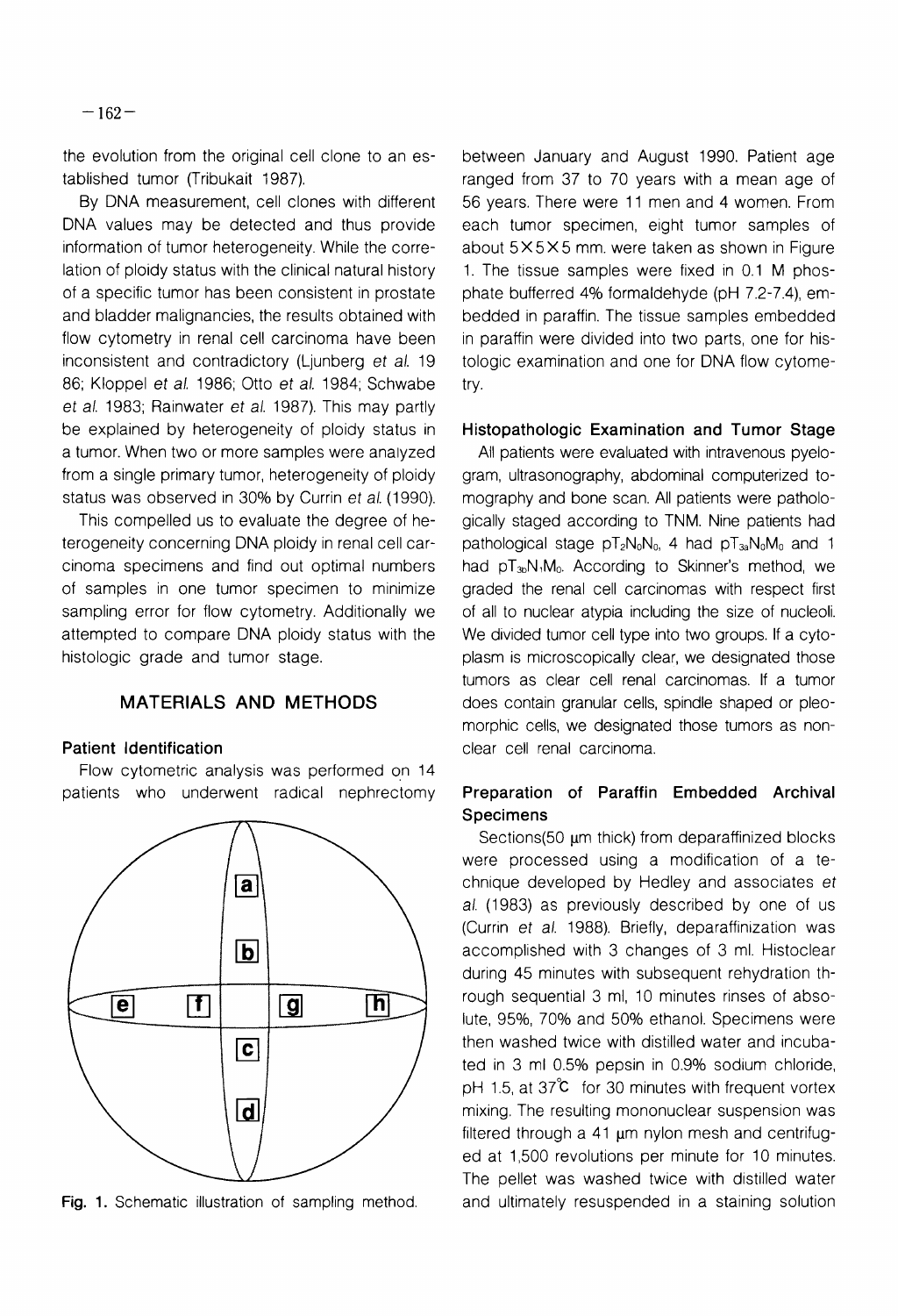the evolution from the original cell clone to an established tumor (Tribukait 1987).

By DNA measurement, cell clones with different DNA values may be detected and thus provide information of tumor heterogeneity. While the correlation of ploidy status with the clinical natural history of a specific tumor has been consistent in prostate and bladder malignancies, the results obtained with flow cytometry in renal cell carcinoma have been inconsistent and contradictory (Ljunberg et al. 19 86; Kloppel et al. 1986; Otto et al. 1984; Schwabe et al. 1983; Rainwater et al. 1987). This may partly be explained by heterogeneity of ploidy status in a tumor. When two or more samples were analyzed from a single primary tumor, heterogeneity of ploidy status was observed in 30% by Currin et al. (1990).

This compelled us to evaluate the degree of heterogeneity concerning DNA ploidy in renal cell carcinoma specimens and find out optimal numbers of samples in one tumor specimen to minimize sampling error for flow cytometry. Additionally we attempted to compare DNA ploidy status with the histologic grade and tumor stage.

## **MATERIALS AND METHODS**

#### **Patient Identification**

Flow cytometric analysis was performed on 14 patients who underwent radical nephrectomy



between January and August 1990. Patient age ranged from 37 to 70 years with a mean age of 56 years. There were 11 men and 4 women. From each tumor specimen, eight tumor samples of about  $5 \times 5 \times 5$  mm. were taken as shown in Figure 1. The tissue samples were fixed in 0.1 M phosphate bufferred 4% formaldehyde (pH 7.2-7.4), embedded in paraffin. The tissue samples embedded in paraffin were divided into two parts, one for histologic examination and one for DNA flow cytometry.

#### **Histopathologic Examination and Tumor Stage**

All patients were evaluated with intravenous pyelogram, ultrasonography, abdominal computerized tomography and bone scan. All patients were pathologically staged according to TNM. Nine patients had pathological stage  $pT_2N_0N_0$ , 4 had  $pT_3N_0M_0$  and 1 had  $pT_{3b}N_1M_0$ . According to Skinner's method, we graded the renal cell carcinomas with respect first of all to nuclear atypia including the size of nucleoli. We divided tumor cell type into two groups. If a cytoplasm is microscopically clear, we designated those tumors as clear cell renal carcinomas. If a tumor does contain granular cells, spindle shaped or pleomorphic cells, we designated those tumors as nonclear cell renal carcinoma.

# **Preparation of Paraffin Embedded Archival Specimens**

Sections(50 µm thick) from deparaffinized blocks were processed using a modification of a technique developed by Hedley and associates et al. (1983) as previously described by one of us (Currin et a/. 1988). Briefly, deparaffinization was accomplished with 3 changes of 3 ml. Histoclear during 45 minutes with subsequent rehydration through sequential 3 ml, 10 minutes rinses of absolute, 95%, 70% and 50% ethanol. Specimens were then washed twice with distilled water and incubated in 3 ml 0.5% pepsin in 0.9% sodium chloride, pH 1.5, at  $37^{\circ}$  for 30 minutes with frequent vortex mixing. The resulting mononuclear suspension was filtered through a 41  $\mu$ m nylon mesh and centrifuged at 1,500 revolutions per minute for 10 minutes. The pellet was washed twice with distilled water **Fig. 1.** Schematic illustration of sampling method. and ultimately resuspended in a staining solution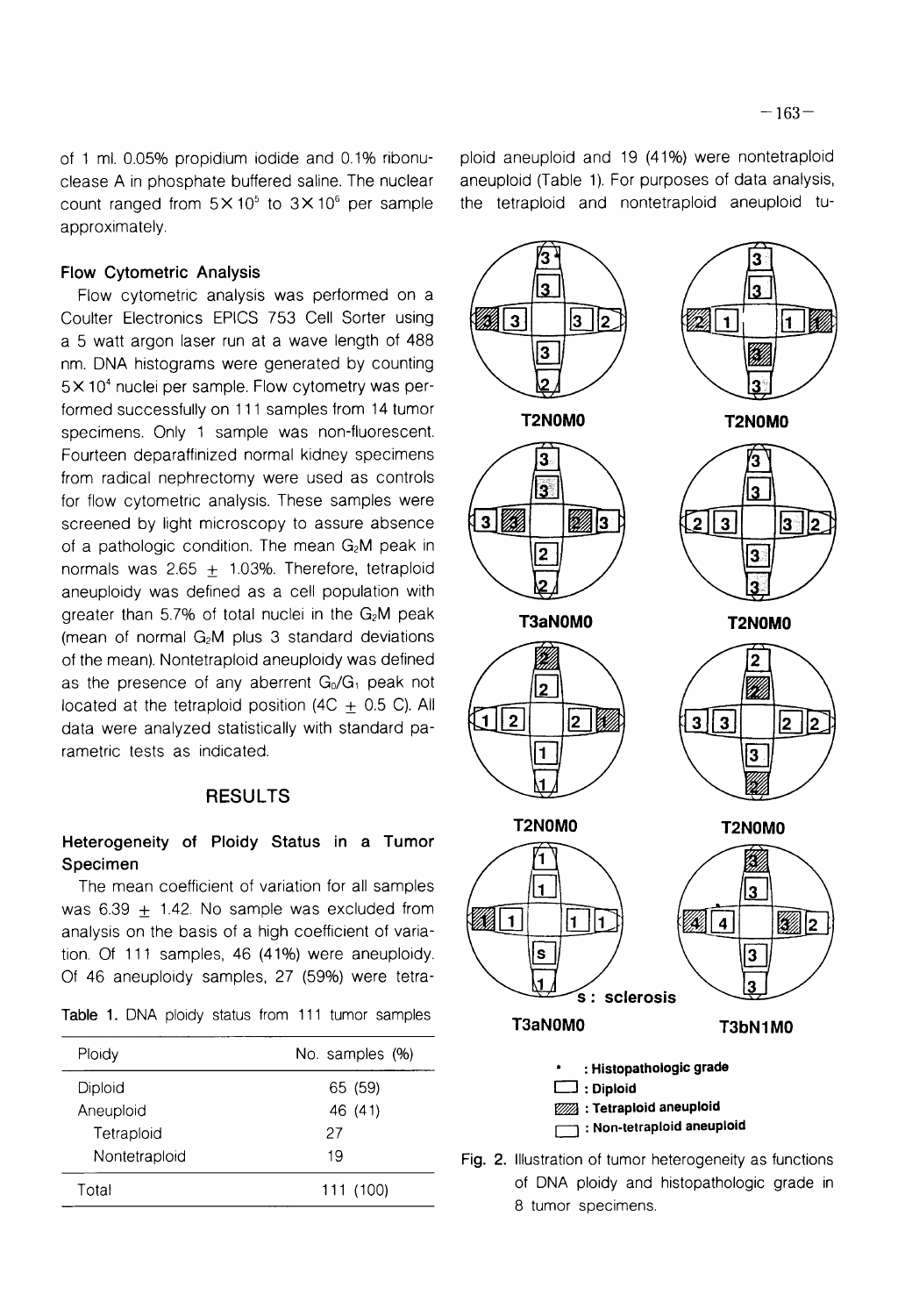of 1 ml. 0.05% propidium iodide and 0.1% ribonuclease A in phosphate buffered saline. The nuclear count ranged from  $5 \times 10^5$  to  $3 \times 10^6$  per sample approximately.

#### **Flow Cytometric Analysis**

Flow cytometric analysis was performed on a Coulter Electronics EPICS 753 Cell Sorter using a 5 watt argon laser run at a wave length of 488 nm. DNA histograms were generated by counting  $5 \times 10^4$  nuclei per sample. Flow cytometry was performed successfully on 111 samples from 14 tumor specimens. Only 1 sample was non-fluorescent. Fourteen deparaffinized normal kidney specimens from radical nephrectomy were used as controls for flow cytometric analysis. These samples were screened by light microscopy to assure absence of a pathologic condition. The mean  $G_2M$  peak in normals was 2.65  $+$  1.03%. Therefore, tetraploid aneuploidy was defined as a cell population with greater than  $5.7\%$  of total nuclei in the  $G<sub>2</sub>M$  peak (mean of normal  $G_2M$  plus 3 standard deviations of the mean). Nontetraploid aneuploidy was defined as the presence of any aberrent  $G_0/G_1$  peak not located at the tetraploid position (4C  $\pm$  0.5 C). All data were analyzed statistically with standard parametric tests as indicated.

## RESULTS

## **Heterogeneity of Ploidy Status in a Tumor Specimen**

The mean coefficient of variation for all samples was 6.39  $\pm$  1.42. No sample was excluded from analysis on the basis of a high coefficient of variation. Of 111 samples, 46 (41%) were aneuploidy. Of 46 aneuploidy samples, 27 (59%) were tetra-

Table 1. DNA ploidy status from 111 tumor samples

| Ploidy        | No. samples (%) |
|---------------|-----------------|
| Diploid       | 65 (59)         |
| Aneuploid     | 46 (41)         |
| Tetraploid    | 27              |
| Nontetraploid | 19              |
| Total         | 111 (100)       |

ploid aneuploid and 19 (41%) were nontetraploid aneuploid (Table 1). For purposes of data analysis, the tetraploid and nontetraploid aneuploid tu-



Fig. 2. Illustration of tumor heterogeneity as functions of DNA ploidy and histopathologic grade in 8 tumor specimens.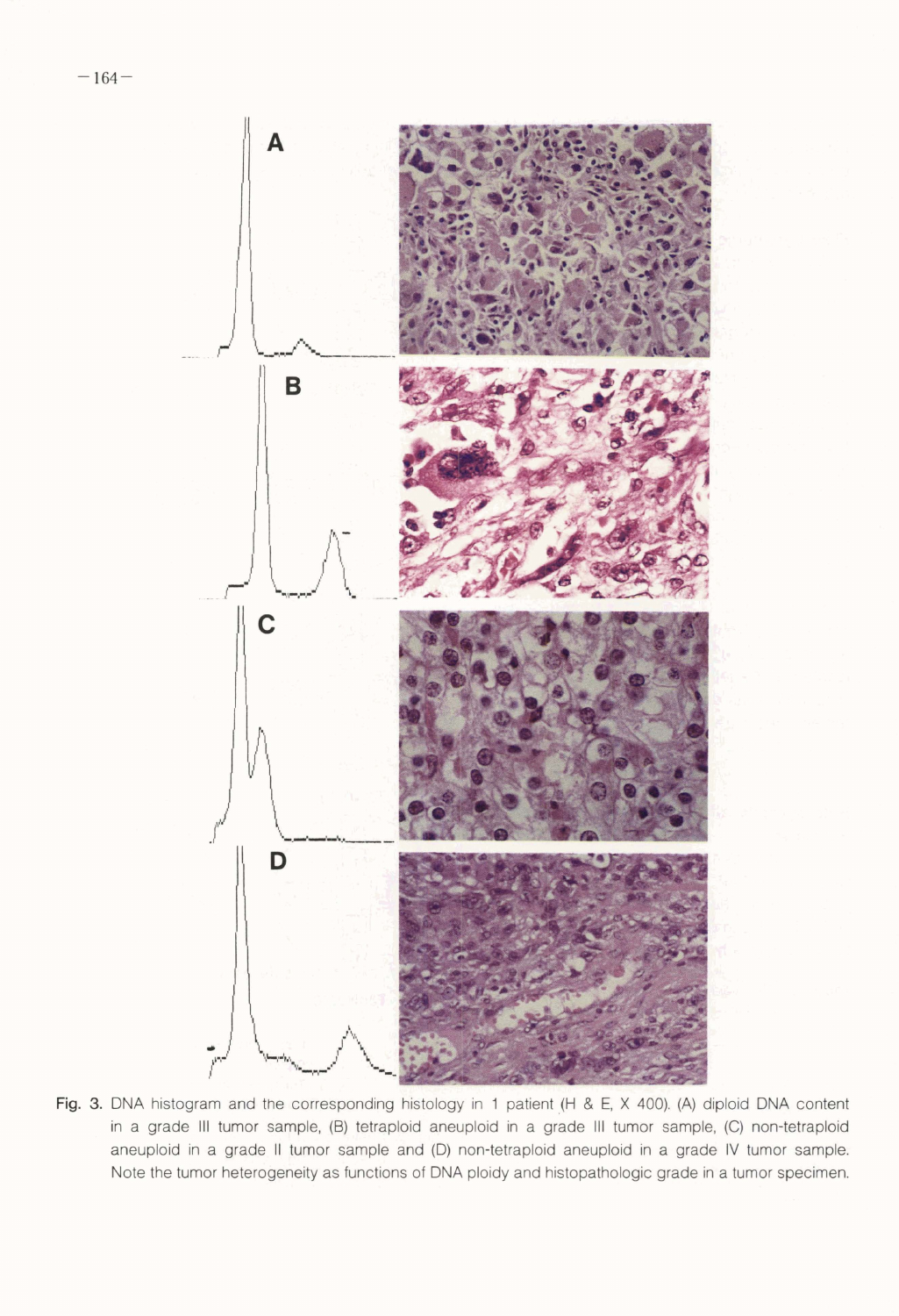

Fig. 3. DNA histogram and the corresponding histology in 1 patient (H & E, X 400). (A) diploid DNA content in a grade Ill tumor sample, (B) tetraploid aneuploid in a grade Ill tumor sample, (C) non-tetraploid aneuploid in a grade II tumor sample and (D) non-tetraploid aneuploid in a grade IV tumor sample. Note the tumor heterogeneity as functions of **DNA** ploidy and histopathologic grade in a tumor specimen.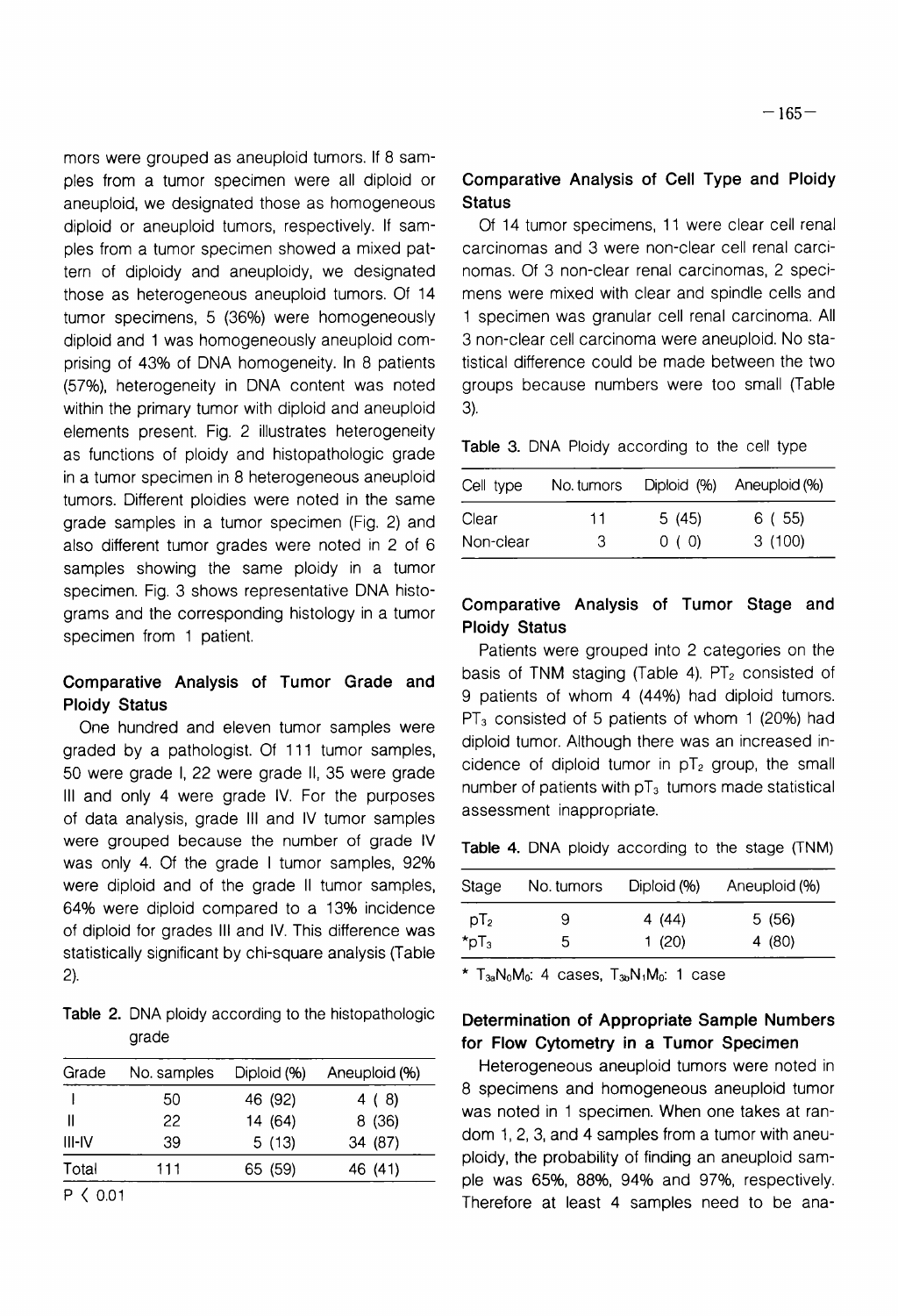mors were grouped as aneuploid tumors. If 8 samples from a tumor specimen were all diploid or aneuploid, we designated those as homogeneous diploid or aneuploid tumors, respectively. If samples from a tumor specimen showed a mixed pattern of diploidy and aneuploidy, we designated those as heterogeneous aneuploid tumors. Of 14 tumor specimens, 5 (36%) were homogeneously diploid and 1 was homogeneously aneuploid comprising of 43% of DNA homogeneity. In 8 patients (57%), heterogeneity in DNA content was noted within the primary tumor with diploid and aneuploid elements present. Fig. 2 illustrates heterogeneity as functions of ploidy and histopathologic grade in a tumor specimen in 8 heterogeneous aneuploid tumors. Different ploidies were noted in the same grade samples in a tumor specimen (Fig. 2) and also different tumor grades were noted in 2 of 6 samples showing the same ploidy in a tumor specimen. Fig. 3 shows representative DNA histograms and the corresponding histology in a tumor specimen from 1 patient.

# **Comparative Analysis of Tumor Grade and Ploidy Status**

One hundred and eleven tumor samples were graded by a pathologist. Of 111 tumor samples, 50 were grade 1, 22 were grade 11, 35 were grade Ill and only 4 were grade IV. For the purposes of data analysis, grade Ill and IV tumor samples were grouped because the number of grade IV was only 4. Of the grade I tumor samples, 92% were diploid and of the grade II tumor samples, 64% were diploid compared to a 13% incidence of diploid for grades Ill and IV. This difference was statistically significant by chi-square analysis (Table 2).

**Table 2.** DNA ploidy according to the histopathologic grade

| Grade          | No. samples | Diploid (%) | Aneuploid (%) |
|----------------|-------------|-------------|---------------|
|                | 50          | 46 (92)     | 4 (8)         |
|                | 22          | 14 (64)     | 8(36)         |
| III-IV         | 39          | 5(13)       | 34 (87)       |
| Total          | 111         | 65 (59)     | 46 (41)       |
| $\langle$ 0.01 |             |             |               |

# **Comparative Analysis of Cell Type and Ploidy Status**

Of 14 tumor specimens, 11 were clear cell renal carcinomas and 3 were non-clear cell renal carcinomas. Of 3 non-clear renal carcinomas, 2 specimens were mixed with clear and spindle cells and 1 specimen was granular cell renal carcinoma. All 3 non-clear cell carcinoma were aneuploid. No statistical difference could be made between the two groups because numbers were too small (Table 3).

**Table 3.** DNA Ploidy according to the cell type

| Cell type | No. tumors | Diploid (%) | Aneuploid (%) |
|-----------|------------|-------------|---------------|
| Clear     | 11         | 5(45)       | 6 ( 55)       |
| Non-clear | 3          | 0(0)        | 3(100)        |

# **Comparative Analysis of Tumor Stage and Ploidy Status**

Patients were grouped into 2 categories on the basis of TNM staging (Table 4).  $PT<sub>2</sub>$  consisted of 9 patients of whom 4 (44%) had diploid tumors.  $PT_3$  consisted of 5 patients of whom 1 (20%) had diploid tumor. Although there was an increased incidence of diploid tumor in  $pT_2$  group, the small number of patients with  $pT_3$  tumors made statistical assessment inappropriate.

**Table 4.** DNA ploidy according to the stage (TNM)

| Stage                 | No. tumors | Diploid (%) | Aneuploid (%) |
|-----------------------|------------|-------------|---------------|
| $pT_2$                | 9          | 4 (44)      | 5 (56)        |
| $\star_{\text{pT}_3}$ | b          | 1 $(20)$    | 4 (80)        |

 $*$  T<sub>3a</sub>N<sub>0</sub>M<sub>0</sub>: 4 cases, T<sub>3p</sub>N<sub>1</sub>M<sub>0</sub>: 1 case

## **Determination of Appropriate Sample Numbers for Flow Cytometry in a Tumor Specimen**

Heterogeneous aneuploid tumors were noted in 8 specimens and homogeneous aneuploid tumor was noted in 1 specimen. When one takes at random 1, 2, 3, and **4** samples from a tumor with aneuploidy, the probability of finding an aneuploid sample was 6596, 8896, 94% and 97%, respectively. Therefore at least 4 samples need to be ana-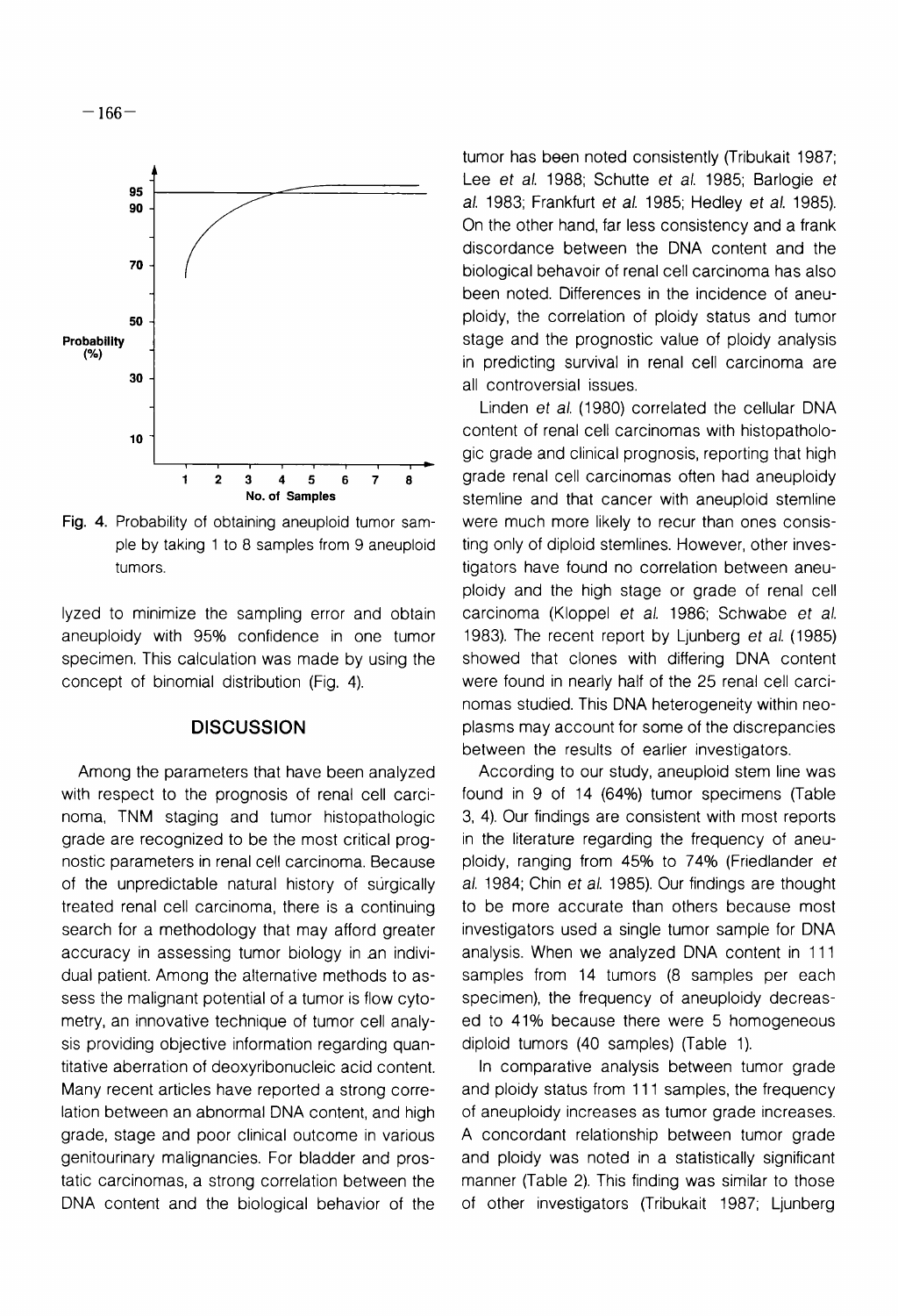

 $-166-$ 

Fig. **4.** Probability of obtaining aneuploid tumor sample by taking 1 to 8 samples from 9 aneuploid tumors.

lyzed to minimize the sampling error and obtain aneuploidy with 95% confidence in one tumor specimen. This calculation was made by using the concept of binomial distribution (Fig. 4).

#### **DISCUSSION**

Among the parameters that have been analyzed with respect to the prognosis of renal cell carcinoma, TNM staging and tumor histopathologic grade are recognized to be the most critical prognostic parameters in renal cell carcinoma. Because of the unpredictable natural history of surgically treated renal cell carcinoma, there is a continuing search for a methodology that may afford greater accuracy in assessing tumor biology in an individual patient. Among the alternative methods to assess the malignant potential of a tumor is flow cytometry, an innovative technique of tumor cell analysis providing objective information regarding quantitative aberration of deoxyribonucleic acid content. Many recent articles have reported a strong correlation between an abnormal DNA content, and high grade, stage and poor clinical outcome in various genitourinary malignancies. For bladder and prostatic carcinomas, a strong correlation between the DNA content and the biological behavior of the

tumor has been noted consistently (Tribukait 1987; Lee et al. 1988; Schutte et al. 1985; Barlogie et al. 1983; Frankfurt et al. 1985; Hedley et al. 1985). On the other hand, far less consistency and a frank discordance between the DNA content and the biological behavoir of renal cell carcinoma has also been noted. Differences in the incidence of aneuploidy, the correlation of ploidy status and tumor stage and the prognostic value of ploidy analysis in predicting survival in renal cell carcinoma are all controversial issues.

Linden et al. (1980) correlated the cellular DNA content of renal cell carcinomas with histopathologic grade and clinical prognosis, reporting that high grade renal cell carcinomas often had aneuploidy stemline and that cancer with aneuploid stemline were much more likely to recur than ones consisting only of diploid stemlines. However, other investigators have found no correlation between aneuploidy and the high stage or grade of renal cell carcinoma (Kloppel et al. 1986; Schwabe et al. 1983). The recent report by Liunberg et al. (1985). showed that clones with differing DNA content were found in nearly half of the 25 renal cell carcinomas studied. This DNA heterogeneity within neoplasms may account for some of the discrepancies between the results of earlier investigators.

According to our study, aneuploid stem line was found in 9 of 14 (64%) tumor specimens (Table 3, 4). Our findings are consistent with most reports in the literature regarding the frequency of aneuploidy, ranging from 45% to 74% (Friedlander et al. 1984; Chin et al. 1985). Our findings are thought to be more accurate than others because most investigators used a single tumor sample for DNA analysis. When we analyzed DNA content in 111 samples from 14 tumors (8 samples per each specimen), the frequency of aneuploidy decreased to 41% because there were 5 homogeneous diploid tumors (40 samples) (Table 1).

In comparative analysis between tumor grade and ploidy status from 111 samples, the frequency of aneuploidy increases as tumor grade increases. A concordant relationship between tumor grade and ploidy was noted in a statistically significant manner (Table 2). This finding was similar to those of other investigators (Tribukait 1987; Ljunberg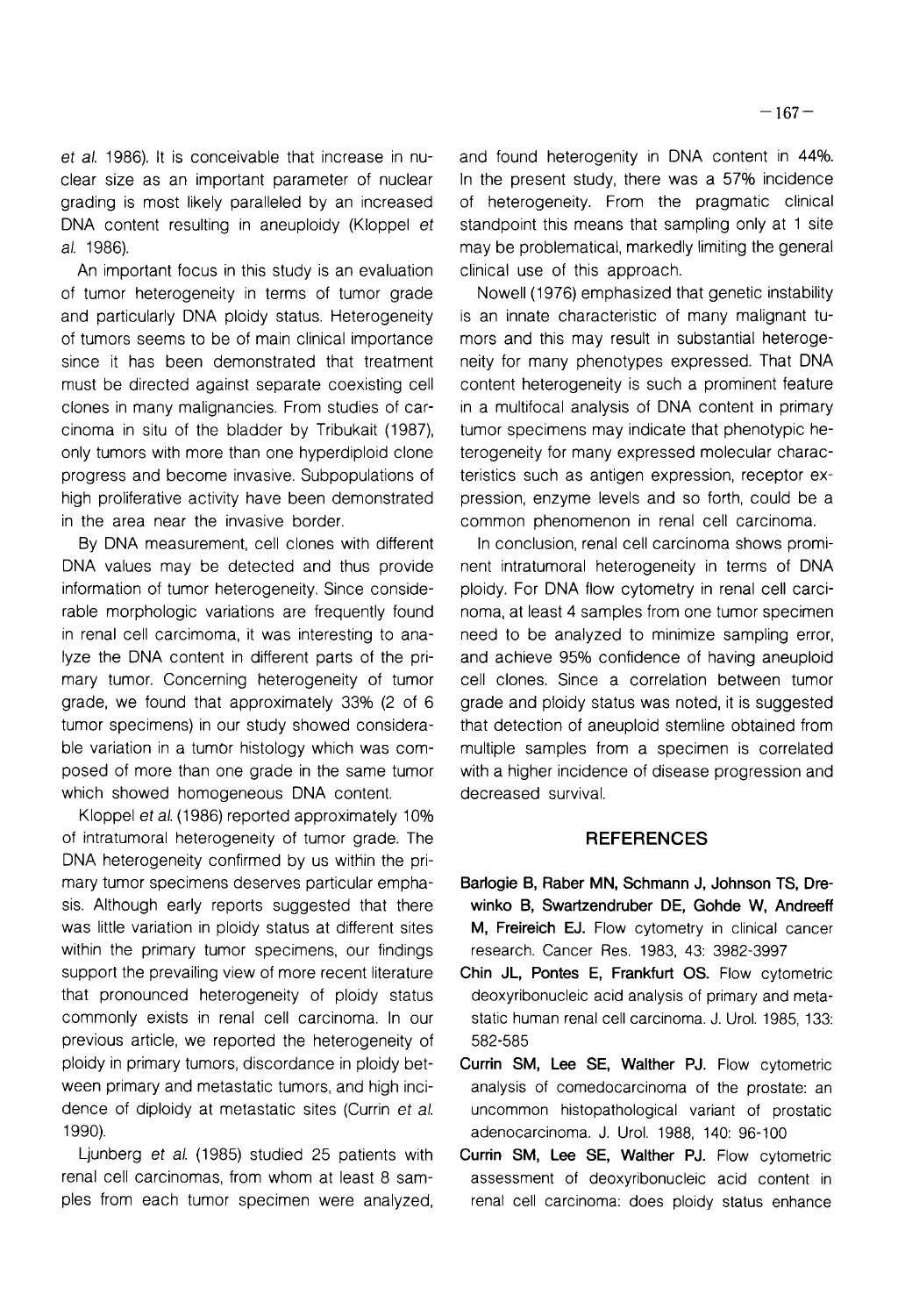et al. 1986). It is conceivable that increase in nuclear size as an important parameter of nuclear grading is most likely paralleled by an increased DNA content resulting in aneuploidy (Kloppel et al. 1986).

An important focus in this study is an evaluation of tumor heterogeneity in terms of tumor grade and particularly DNA ploidy status. Heterogeneity of tumors seems to be of main clinical importance since it has been demonstrated that treatment must be directed against separate coexisting cell clones in many malignancies. From studies of carcinoma in situ of the bladder by Tribukait (1987), only tumors with more than one hyperdiploid clone progress and become invasive. Subpopulations of high proliferative activity have been demonstrated in the area near the invasive border.

By DNA measurement, cell clones with different DNA values may be detected and thus provide information of tumor heterogeneity. Since considerable morphologic variations are frequently found in renal cell carcimoma, it was interesting to analyze the DNA content in different parts of the primary tumor. Concerning heterogeneity of tumor grade, we found that approximately 33% (2 of 6 tumor specimens) in our study showed considerable variation in a tumor histology which was composed of more than one grade in the same tumor which showed homogeneous DNA content.

Kloppel et al. (1986) reported approximately 10% of intratumoral heterogeneity of tumor grade. The DNA heterogeneity confirmed by us within the primary tumor specimens deserves particular emphasis. Although early reports suggested that there was little variation in ploidy status at different sites within the primary tumor specimens, our findings support the prevailing view of more recent literature that pronounced heterogeneity of ploidy status commonly exists in renal cell carcinoma. In our previous article, we reported the heterogeneity of ploidy in primary tumors, discordance in ploidy between primary and metastatic tumors, and high incidence of diploidy at metastatic sites (Currin et a/. 1990).

Ljunberg et al. (1985) studied 25 patients with renal cell carcinomas, from whom at least 8 samples from each tumor specimen were analyzed, and found heterogenity in DNA content in 44%. In the present study, there was a 57% incidence of heterogeneity. From the pragmatic clinical standpoint this means that sampling only at 1 site may be problematical, markedly limiting the general clinical use of this approach.

Nowell (1976) emphasized that genetic instability is an innate characteristic of many malignant tumors and this may result in substantial heterogeneity for many phenotypes expressed. That DNA content heterogeneity is such a prominent feature in a multifocal analysis of DNA content in primary tumor specimens may indicate that phenotypic heterogeneity for many expressed molecular characteristics such as antigen expression, receptor expression, enzyme levels and so forth, could be a common phenomenon in renal cell carcinoma.

In conclusion, renal cell carcinoma shows prominent intratumoral heterogeneity in terms of DNA ploidy. For DNA flow cytometry in renal cell carcinoma, at least 4 samples from one tumor specimen need to be analyzed to minimize sampling error, and achieve 95% confidence of having aneuploid cell clones. Since a correlation between tumor grade and ploidy status was noted, it is suggested that detection of aneuploid stemline obtained from multiple samples from a specimen is correlated with a higher incidence of disease progression and decreased survival.

#### **REFERENCES**

- **Barlogie B, Raber MN, Schmann J, Johnson TS, Drewinko B, Swartzendruber DE, Gohde W, Andreeff M, Freireich EJ.** Flow cytometry in clinical cancer research. Cancer Res. 1983, 43: 3982-3997
- **Chin JL, Pontes E, Frankfurt 0s.** Flow cytometric deoxyribonucleic acid analysis of primary and metastatic human renal cell carcinoma. J. Urol. 1985, 133: 582-585
- **Currin SM, Lee SE, Walther PJ.** Flow cytometric analysis of comedocarcinoma of the prostate: an uncommon histopathological variant of prostatic adenocarcinoma. J. Urol. 1988, 140: 96-100
- **Currin SM, Lee SE, Walther PJ.** Flow cytometric assessment of deoxyribonucleic acid content in renal cell carcinoma: does ploidy status enhance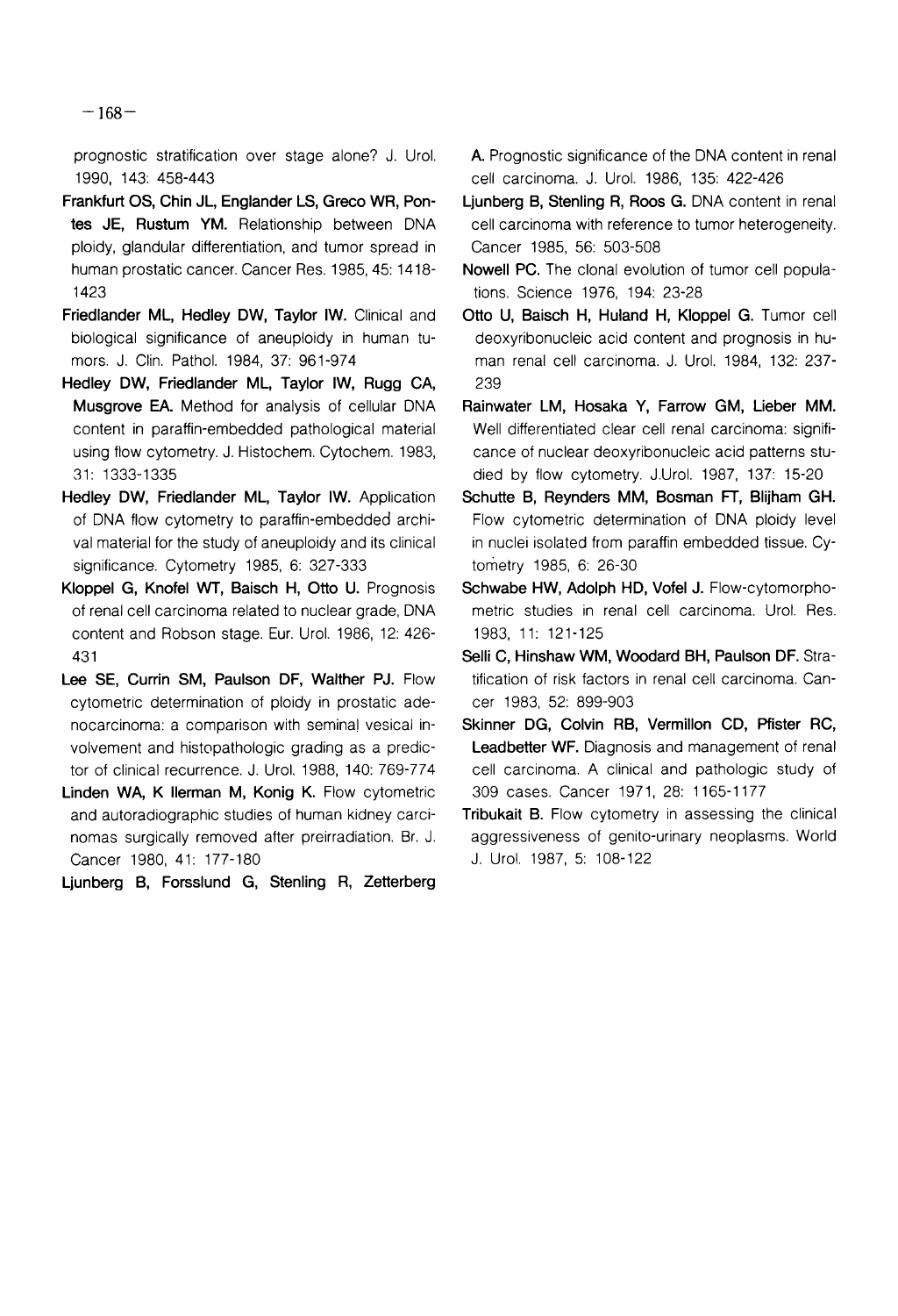$-168-$ 

prognostic stratification over stage alone? J. Urol. 1990, 143: 458-443

- Frankfurt OS, Chin JL, Englander LS, Greco WR, Pontes JE, Rustum YM. Relationship between DNA ploidy, glandular differentiation, and tumor spread in human prostatic cancer. Cancer Res. 1985, 45: 1418-1423
- Friedlander ML, Hedley DW, Taylor IW. Clinical and biological significance of aneuploidy in human tumors. J. Clin. Pathol. 1984, 37: 961-974
- Hedley DW, Friedlander ML, Taylor IW, Rugg CA, Musgrove **EA.** Method for analysis of cellular DNA content in paraffin-embedded pathological material using flow cytometry. J. Histochem. Cytochem. 1983, 31: 1333-1335
- Hedley DW, Friedlander ML, Taylor IW. Application of DNA flow cytometry to paraffin-embedded archival material for the study of aneuploidy and its clinical significance. Cytometry 1985, 6: 327-333
- Kloppel G, Knofel **WT,** Baisch H, Otto U. Prognosis of renal cell carcinoma related to nuclear grade, DNA content and Robson stage. Eur. Urol. 1986, 12: 426- 43 1
- Lee SE, Currin SM, Paulson DF, Walther PJ. Flow cytometric determination of ploidy in prostatic adenocarcinoma: a comparison with seminal vesical involvement and histopathologic grading as a predictor of clinical recurrence. J. Urol. 1988, 140: 769-774
- Linden WA, K llerman M, Konig K. Flow cytometric and autoradiographic studies of human kidney carcinomas surgically removed after preirradiation. Br. J. Cancer 1980, 41: 177-180
- Ljunberg B, Forsslund G, Stenling R, Zetterberg

A. Prognostic significance of the DNA content in renal cell carcinoma. J. Urol. 1986, 135: 422-426

- Ljunberg B, Stenling R, Roos G. DNA content in renal cell carcinoma with reference to tumor heterogeneity. Cancer 1985, 56: 503-508
- Nowell PC. The clonal evolution of tumor cell populations. Science 1976, 194: 23-28
- Otto U, Baisch H, Huland H, Kloppel G. Tumor cell deoxyribonucleic acid content and prognosis in human renal cell carcinoma. J. Urol. 1984, 132: 237- 239
- Rainwater LM, Hosaka Y, Farrow GM, Lieber MM. Well differentiated clear cell renal carcinoma: significance of nuclear deoxyribonucleic acid patterns studied by flow cytometry. J.Urol. 1987, 137: 15-20
- Schutte B, Reynders MM, Bosman FT, Blijham GH. Flow cytometric determination of DNA ploidy level in nuclei isolated from paraffin embedded tissue. Cytometry 1985, 6: 26-30
- Schwabe HW, Adolph HD, Vofel J. Flow-cytomorphometric studies in renal cell carcinoma. Urol. Res. 1983, 11: 121-125
- Selli C, Hinshaw WM, Woodard BH, Paulson DF. Stratification of risk factors in renal cell carcinoma. Cancer 1983, 52: 899-903
- Skinner DG, Colvin RB, Vermillon CD, Pfister RC, Leadbetter WF. Diagnosis and management of renal cell carcinoma. A clinical and pathologic study of 309 cases. Cancer 197 1, 28: 1 165-1 177
- Tribukait B. Flow cytometry in assessing the clinical aggressiveness of genito-urinary neoplasms. World J. Urol. 1987, 5: 108-122